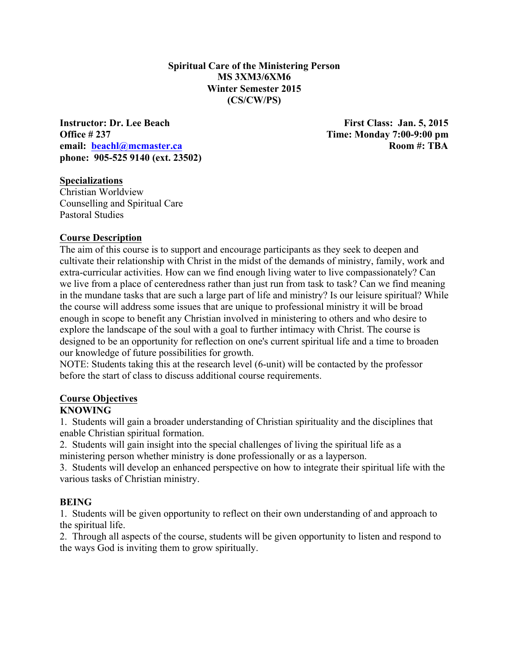**Spiritual Care of the Ministering Person MS 3XM3/6XM6 Winter Semester 2015 (CS/CW/PS)**

**Instructor: Dr. Lee Beach First Class: Jan. 5, 2015 Office # 237 Time: Monday 7:00-9:00 pm email: beachl@mcmaster.ca Room #: TBA phone: 905-525 9140 (ext. 23502)** 

#### **Specializations**

Christian Worldview Counselling and Spiritual Care Pastoral Studies

#### **Course Description**

The aim of this course is to support and encourage participants as they seek to deepen and cultivate their relationship with Christ in the midst of the demands of ministry, family, work and extra-curricular activities. How can we find enough living water to live compassionately? Can we live from a place of centeredness rather than just run from task to task? Can we find meaning in the mundane tasks that are such a large part of life and ministry? Is our leisure spiritual? While the course will address some issues that are unique to professional ministry it will be broad enough in scope to benefit any Christian involved in ministering to others and who desire to explore the landscape of the soul with a goal to further intimacy with Christ. The course is designed to be an opportunity for reflection on one's current spiritual life and a time to broaden our knowledge of future possibilities for growth.

NOTE: Students taking this at the research level (6-unit) will be contacted by the professor before the start of class to discuss additional course requirements.

#### **Course Objectives**

#### **KNOWING**

1. Students will gain a broader understanding of Christian spirituality and the disciplines that enable Christian spiritual formation.

2. Students will gain insight into the special challenges of living the spiritual life as a ministering person whether ministry is done professionally or as a layperson.

3. Students will develop an enhanced perspective on how to integrate their spiritual life with the various tasks of Christian ministry.

#### **BEING**

1. Students will be given opportunity to reflect on their own understanding of and approach to the spiritual life.

2. Through all aspects of the course, students will be given opportunity to listen and respond to the ways God is inviting them to grow spiritually.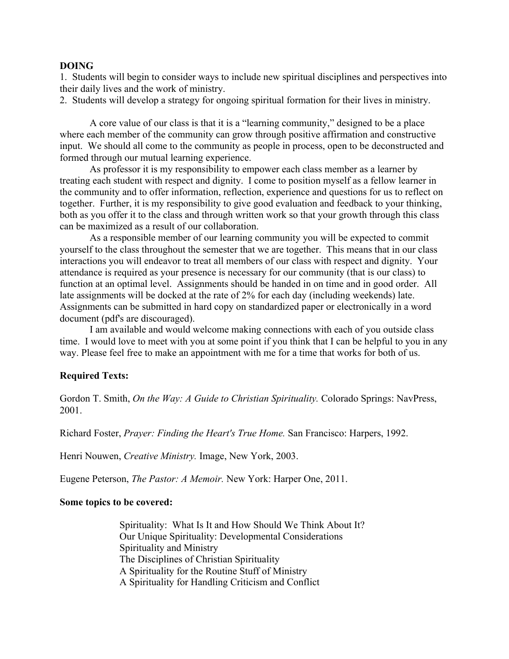#### **DOING**

1. Students will begin to consider ways to include new spiritual disciplines and perspectives into their daily lives and the work of ministry.

2. Students will develop a strategy for ongoing spiritual formation for their lives in ministry.

A core value of our class is that it is a "learning community," designed to be a place where each member of the community can grow through positive affirmation and constructive input. We should all come to the community as people in process, open to be deconstructed and formed through our mutual learning experience.

As professor it is my responsibility to empower each class member as a learner by treating each student with respect and dignity. I come to position myself as a fellow learner in the community and to offer information, reflection, experience and questions for us to reflect on together. Further, it is my responsibility to give good evaluation and feedback to your thinking, both as you offer it to the class and through written work so that your growth through this class can be maximized as a result of our collaboration.

As a responsible member of our learning community you will be expected to commit yourself to the class throughout the semester that we are together. This means that in our class interactions you will endeavor to treat all members of our class with respect and dignity. Your attendance is required as your presence is necessary for our community (that is our class) to function at an optimal level. Assignments should be handed in on time and in good order. All late assignments will be docked at the rate of 2% for each day (including weekends) late. Assignments can be submitted in hard copy on standardized paper or electronically in a word document (pdf's are discouraged).

I am available and would welcome making connections with each of you outside class time. I would love to meet with you at some point if you think that I can be helpful to you in any way. Please feel free to make an appointment with me for a time that works for both of us.

#### **Required Texts:**

Gordon T. Smith, *On the Way: A Guide to Christian Spirituality.* Colorado Springs: NavPress, 2001.

Richard Foster, *Prayer: Finding the Heart's True Home.* San Francisco: Harpers, 1992.

Henri Nouwen, *Creative Ministry.* Image, New York, 2003.

Eugene Peterson, *The Pastor: A Memoir.* New York: Harper One, 2011.

#### **Some topics to be covered:**

Spirituality: What Is It and How Should We Think About It? Our Unique Spirituality: Developmental Considerations Spirituality and Ministry The Disciplines of Christian Spirituality A Spirituality for the Routine Stuff of Ministry A Spirituality for Handling Criticism and Conflict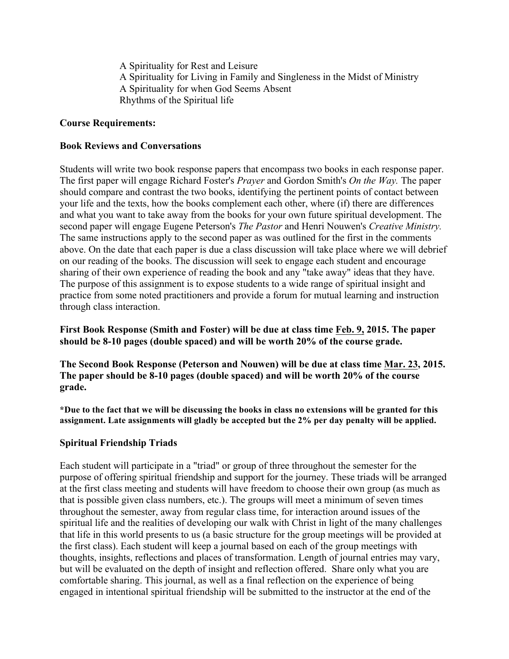A Spirituality for Rest and Leisure A Spirituality for Living in Family and Singleness in the Midst of Ministry A Spirituality for when God Seems Absent Rhythms of the Spiritual life

### **Course Requirements:**

#### **Book Reviews and Conversations**

Students will write two book response papers that encompass two books in each response paper. The first paper will engage Richard Foster's *Prayer* and Gordon Smith's *On the Way.* The paper should compare and contrast the two books, identifying the pertinent points of contact between your life and the texts, how the books complement each other, where (if) there are differences and what you want to take away from the books for your own future spiritual development. The second paper will engage Eugene Peterson's *The Pastor* and Henri Nouwen's *Creative Ministry.*  The same instructions apply to the second paper as was outlined for the first in the comments above. On the date that each paper is due a class discussion will take place where we will debrief on our reading of the books. The discussion will seek to engage each student and encourage sharing of their own experience of reading the book and any "take away" ideas that they have. The purpose of this assignment is to expose students to a wide range of spiritual insight and practice from some noted practitioners and provide a forum for mutual learning and instruction through class interaction.

**First Book Response (Smith and Foster) will be due at class time Feb. 9, 2015. The paper should be 8-10 pages (double spaced) and will be worth 20% of the course grade.**

**The Second Book Response (Peterson and Nouwen) will be due at class time Mar. 23, 2015. The paper should be 8-10 pages (double spaced) and will be worth 20% of the course grade.**

**\*Due to the fact that we will be discussing the books in class no extensions will be granted for this assignment. Late assignments will gladly be accepted but the 2% per day penalty will be applied.**

### **Spiritual Friendship Triads**

Each student will participate in a "triad" or group of three throughout the semester for the purpose of offering spiritual friendship and support for the journey. These triads will be arranged at the first class meeting and students will have freedom to choose their own group (as much as that is possible given class numbers, etc.). The groups will meet a minimum of seven times throughout the semester, away from regular class time, for interaction around issues of the spiritual life and the realities of developing our walk with Christ in light of the many challenges that life in this world presents to us (a basic structure for the group meetings will be provided at the first class). Each student will keep a journal based on each of the group meetings with thoughts, insights, reflections and places of transformation. Length of journal entries may vary, but will be evaluated on the depth of insight and reflection offered. Share only what you are comfortable sharing. This journal, as well as a final reflection on the experience of being engaged in intentional spiritual friendship will be submitted to the instructor at the end of the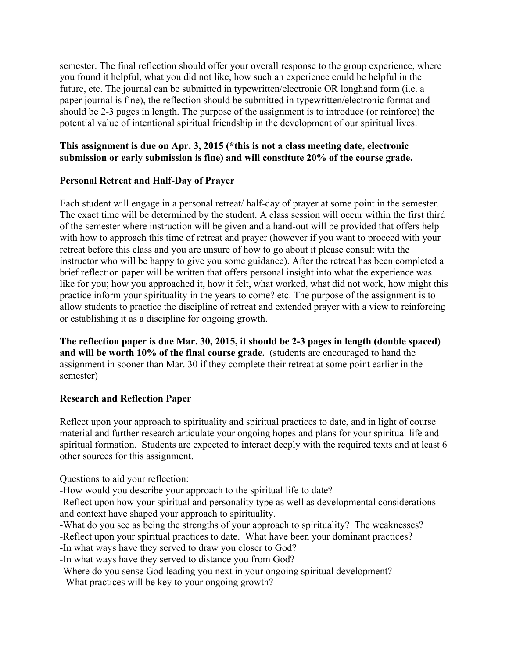semester. The final reflection should offer your overall response to the group experience, where you found it helpful, what you did not like, how such an experience could be helpful in the future, etc. The journal can be submitted in typewritten/electronic OR longhand form (i.e. a paper journal is fine), the reflection should be submitted in typewritten/electronic format and should be 2-3 pages in length. The purpose of the assignment is to introduce (or reinforce) the potential value of intentional spiritual friendship in the development of our spiritual lives.

### **This assignment is due on Apr. 3, 2015 (\*this is not a class meeting date, electronic submission or early submission is fine) and will constitute 20% of the course grade.**

## **Personal Retreat and Half-Day of Prayer**

Each student will engage in a personal retreat/ half-day of prayer at some point in the semester. The exact time will be determined by the student. A class session will occur within the first third of the semester where instruction will be given and a hand-out will be provided that offers help with how to approach this time of retreat and prayer (however if you want to proceed with your retreat before this class and you are unsure of how to go about it please consult with the instructor who will be happy to give you some guidance). After the retreat has been completed a brief reflection paper will be written that offers personal insight into what the experience was like for you; how you approached it, how it felt, what worked, what did not work, how might this practice inform your spirituality in the years to come? etc. The purpose of the assignment is to allow students to practice the discipline of retreat and extended prayer with a view to reinforcing or establishing it as a discipline for ongoing growth.

**The reflection paper is due Mar. 30, 2015, it should be 2-3 pages in length (double spaced) and will be worth 10% of the final course grade.** (students are encouraged to hand the assignment in sooner than Mar. 30 if they complete their retreat at some point earlier in the semester)

### **Research and Reflection Paper**

Reflect upon your approach to spirituality and spiritual practices to date, and in light of course material and further research articulate your ongoing hopes and plans for your spiritual life and spiritual formation. Students are expected to interact deeply with the required texts and at least 6 other sources for this assignment.

Questions to aid your reflection:

-How would you describe your approach to the spiritual life to date?

-Reflect upon how your spiritual and personality type as well as developmental considerations and context have shaped your approach to spirituality.

-What do you see as being the strengths of your approach to spirituality? The weaknesses?

-Reflect upon your spiritual practices to date. What have been your dominant practices?

-In what ways have they served to draw you closer to God?

-In what ways have they served to distance you from God?

-Where do you sense God leading you next in your ongoing spiritual development?

- What practices will be key to your ongoing growth?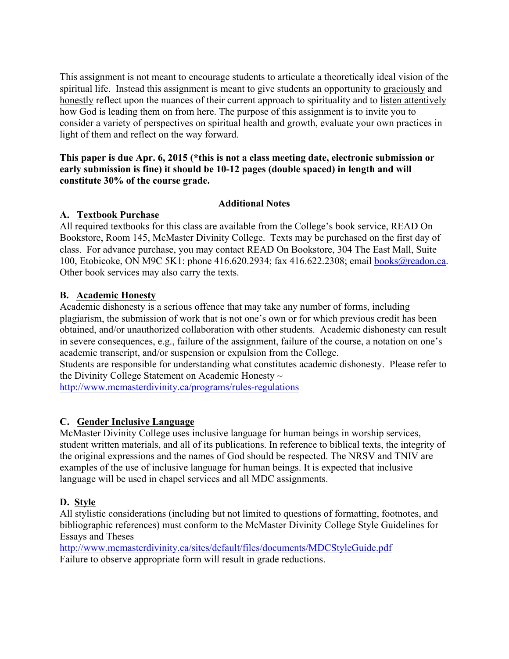This assignment is not meant to encourage students to articulate a theoretically ideal vision of the spiritual life. Instead this assignment is meant to give students an opportunity to graciously and honestly reflect upon the nuances of their current approach to spirituality and to listen attentively how God is leading them on from here. The purpose of this assignment is to invite you to consider a variety of perspectives on spiritual health and growth, evaluate your own practices in light of them and reflect on the way forward.

### **This paper is due Apr. 6, 2015 (\*this is not a class meeting date, electronic submission or early submission is fine) it should be 10-12 pages (double spaced) in length and will constitute 30% of the course grade.**

## **Additional Notes**

## **A. Textbook Purchase**

All required textbooks for this class are available from the College's book service, READ On Bookstore, Room 145, McMaster Divinity College. Texts may be purchased on the first day of class. For advance purchase, you may contact READ On Bookstore, 304 The East Mall, Suite 100, Etobicoke, ON M9C 5K1: phone 416.620.2934; fax 416.622.2308; email books@readon.ca. Other book services may also carry the texts.

## **B. Academic Honesty**

Academic dishonesty is a serious offence that may take any number of forms, including plagiarism, the submission of work that is not one's own or for which previous credit has been obtained, and/or unauthorized collaboration with other students. Academic dishonesty can result in severe consequences, e.g., failure of the assignment, failure of the course, a notation on one's academic transcript, and/or suspension or expulsion from the College.

Students are responsible for understanding what constitutes academic dishonesty. Please refer to the Divinity College Statement on Academic Honesty  $\sim$ 

http://www.mcmasterdivinity.ca/programs/rules-regulations

# **C. Gender Inclusive Language**

McMaster Divinity College uses inclusive language for human beings in worship services, student written materials, and all of its publications. In reference to biblical texts, the integrity of the original expressions and the names of God should be respected. The NRSV and TNIV are examples of the use of inclusive language for human beings. It is expected that inclusive language will be used in chapel services and all MDC assignments.

### **D. Style**

All stylistic considerations (including but not limited to questions of formatting, footnotes, and bibliographic references) must conform to the McMaster Divinity College Style Guidelines for Essays and Theses

http://www.mcmasterdivinity.ca/sites/default/files/documents/MDCStyleGuide.pdf Failure to observe appropriate form will result in grade reductions.